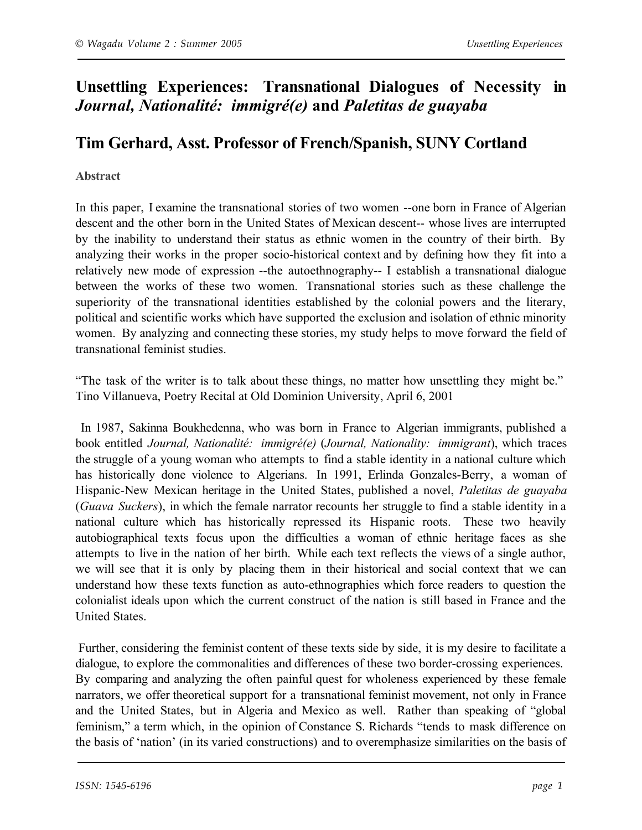# **Unsettling Experiences: Transnational Dialogues of Necessity in**  *Journal, Nationalité: immigré(e)* **and** *Paletitas de guayaba*

## **Tim Gerhard, Asst. Professor of French/Spanish, SUNY Cortland**

#### **Abstract**

In this paper, I examine the transnational stories of two women --one born in France of Algerian descent and the other born in the United States of Mexican descent-- whose lives are interrupted by the inability to understand their status as ethnic women in the country of their birth. By analyzing their works in the proper socio-historical context and by defining how they fit into a relatively new mode of expression --the autoethnography-- I establish a transnational dialogue between the works of these two women. Transnational stories such as these challenge the superiority of the transnational identities established by the colonial powers and the literary, political and scientific works which have supported the exclusion and isolation of ethnic minority women. By analyzing and connecting these stories, my study helps to move forward the field of transnational feminist studies.

"The task of the writer is to talk about these things, no matter how unsettling they might be." Tino Villanueva, Poetry Recital at Old Dominion University, April 6, 2001

In 1987, Sakinna Boukhedenna, who was born in France to Algerian immigrants, published a book entitled *Journal, Nationalité: immigré(e)* (*Journal, Nationality: immigrant*), which traces the struggle of a young woman who attempts to find a stable identity in a national culture which has historically done violence to Algerians. In 1991, Erlinda Gonzales-Berry, a woman of Hispanic-New Mexican heritage in the United States, published a novel, *Paletitas de guayaba* (*Guava Suckers*), in which the female narrator recounts her struggle to find a stable identity in a national culture which has historically repressed its Hispanic roots. These two heavily autobiographical texts focus upon the difficulties a woman of ethnic heritage faces as she attempts to live in the nation of her birth. While each text reflects the views of a single author, we will see that it is only by placing them in their historical and social context that we can understand how these texts function as auto-ethnographies which force readers to question the colonialist ideals upon which the current construct of the nation is still based in France and the United States.

 Further, considering the feminist content of these texts side by side, it is my desire to facilitate a dialogue, to explore the commonalities and differences of these two border-crossing experiences. By comparing and analyzing the often painful quest for wholeness experienced by these female narrators, we offer theoretical support for a transnational feminist movement, not only in France and the United States, but in Algeria and Mexico as well. Rather than speaking of "global feminism," a term which, in the opinion of Constance S. Richards "tends to mask difference on the basis of 'nation' (in its varied constructions) and to overemphasize similarities on the basis of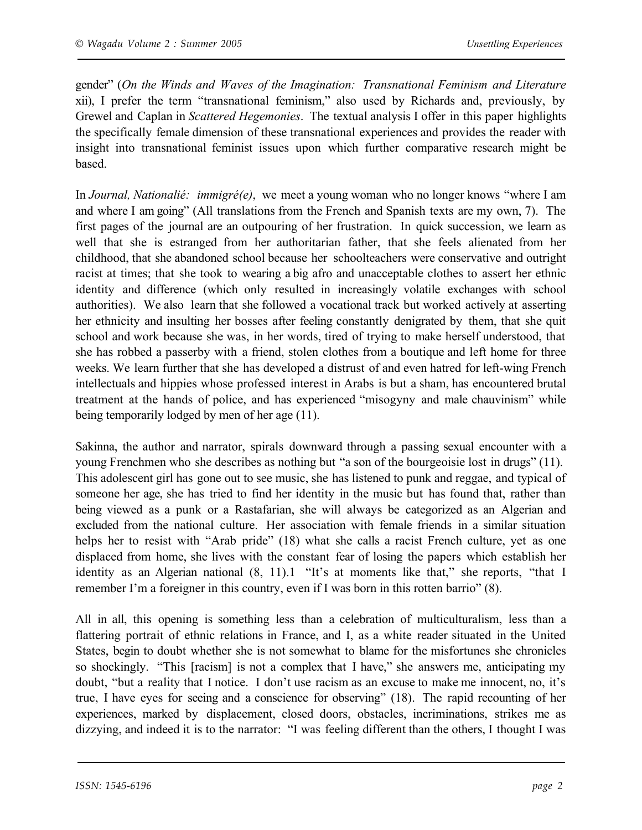gender" (*On the Winds and Waves of the Imagination: Transnational Feminism and Literature* xii), I prefer the term "transnational feminism," also used by Richards and, previously, by Grewel and Caplan in *Scattered Hegemonies*. The textual analysis I offer in this paper highlights the specifically female dimension of these transnational experiences and provides the reader with insight into transnational feminist issues upon which further comparative research might be based.

In *Journal, Nationalié: immigré(e)*, we meet a young woman who no longer knows "where I am and where I am going" (All translations from the French and Spanish texts are my own, 7). The first pages of the journal are an outpouring of her frustration. In quick succession, we learn as well that she is estranged from her authoritarian father, that she feels alienated from her childhood, that she abandoned school because her schoolteachers were conservative and outright racist at times; that she took to wearing a big afro and unacceptable clothes to assert her ethnic identity and difference (which only resulted in increasingly volatile exchanges with school authorities). We also learn that she followed a vocational track but worked actively at asserting her ethnicity and insulting her bosses after feeling constantly denigrated by them, that she quit school and work because she was, in her words, tired of trying to make herself understood, that she has robbed a passerby with a friend, stolen clothes from a boutique and left home for three weeks. We learn further that she has developed a distrust of and even hatred for left-wing French intellectuals and hippies whose professed interest in Arabs is but a sham, has encountered brutal treatment at the hands of police, and has experienced "misogyny and male chauvinism" while being temporarily lodged by men of her age (11).

Sakinna, the author and narrator, spirals downward through a passing sexual encounter with a young Frenchmen who she describes as nothing but "a son of the bourgeoisie lost in drugs" (11). This adolescent girl has gone out to see music, she has listened to punk and reggae, and typical of someone her age, she has tried to find her identity in the music but has found that, rather than being viewed as a punk or a Rastafarian, she will always be categorized as an Algerian and excluded from the national culture. Her association with female friends in a similar situation helps her to resist with "Arab pride" (18) what she calls a racist French culture, yet as one displaced from home, she lives with the constant fear of losing the papers which establish her identity as an Algerian national (8, 11).1 "It's at moments like that," she reports, "that I remember I'm a foreigner in this country, even if I was born in this rotten barrio" (8).

All in all, this opening is something less than a celebration of multiculturalism, less than a flattering portrait of ethnic relations in France, and I, as a white reader situated in the United States, begin to doubt whether she is not somewhat to blame for the misfortunes she chronicles so shockingly. "This [racism] is not a complex that I have," she answers me, anticipating my doubt, "but a reality that I notice. I don't use racism as an excuse to make me innocent, no, it's true, I have eyes for seeing and a conscience for observing" (18). The rapid recounting of her experiences, marked by displacement, closed doors, obstacles, incriminations, strikes me as dizzying, and indeed it is to the narrator: "I was feeling different than the others, I thought I was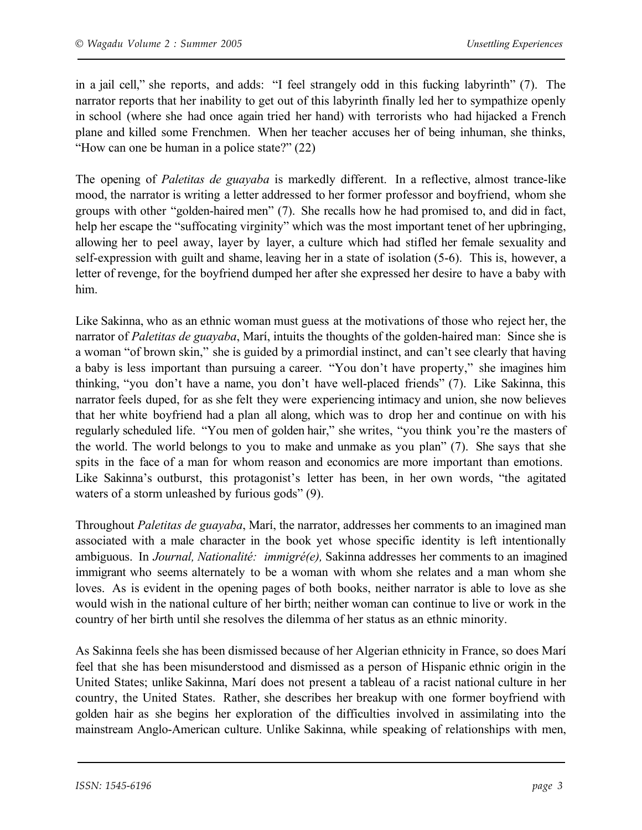in a jail cell," she reports, and adds: "I feel strangely odd in this fucking labyrinth" (7). The narrator reports that her inability to get out of this labyrinth finally led her to sympathize openly in school (where she had once again tried her hand) with terrorists who had hijacked a French plane and killed some Frenchmen. When her teacher accuses her of being inhuman, she thinks, "How can one be human in a police state?" (22)

The opening of *Paletitas de guayaba* is markedly different. In a reflective, almost trance-like mood, the narrator is writing a letter addressed to her former professor and boyfriend, whom she groups with other "golden-haired men" (7). She recalls how he had promised to, and did in fact, help her escape the "suffocating virginity" which was the most important tenet of her upbringing, allowing her to peel away, layer by layer, a culture which had stifled her female sexuality and self-expression with guilt and shame, leaving her in a state of isolation (5-6). This is, however, a letter of revenge, for the boyfriend dumped her after she expressed her desire to have a baby with him.

Like Sakinna, who as an ethnic woman must guess at the motivations of those who reject her, the narrator of *Paletitas de guayaba*, Marí, intuits the thoughts of the golden-haired man: Since she is a woman "of brown skin," she is guided by a primordial instinct, and can't see clearly that having a baby is less important than pursuing a career. "You don't have property," she imagines him thinking, "you don't have a name, you don't have well-placed friends" (7). Like Sakinna, this narrator feels duped, for as she felt they were experiencing intimacy and union, she now believes that her white boyfriend had a plan all along, which was to drop her and continue on with his regularly scheduled life. "You men of golden hair," she writes, "you think you're the masters of the world. The world belongs to you to make and unmake as you plan" (7). She says that she spits in the face of a man for whom reason and economics are more important than emotions. Like Sakinna's outburst, this protagonist's letter has been, in her own words, "the agitated waters of a storm unleashed by furious gods" (9).

Throughout *Paletitas de guayaba*, Marí, the narrator, addresses her comments to an imagined man associated with a male character in the book yet whose specific identity is left intentionally ambiguous. In *Journal, Nationalité: immigré(e),* Sakinna addresses her comments to an imagined immigrant who seems alternately to be a woman with whom she relates and a man whom she loves. As is evident in the opening pages of both books, neither narrator is able to love as she would wish in the national culture of her birth; neither woman can continue to live or work in the country of her birth until she resolves the dilemma of her status as an ethnic minority.

As Sakinna feels she has been dismissed because of her Algerian ethnicity in France, so does Marí feel that she has been misunderstood and dismissed as a person of Hispanic ethnic origin in the United States; unlike Sakinna, Marí does not present a tableau of a racist national culture in her country, the United States. Rather, she describes her breakup with one former boyfriend with golden hair as she begins her exploration of the difficulties involved in assimilating into the mainstream Anglo-American culture. Unlike Sakinna, while speaking of relationships with men,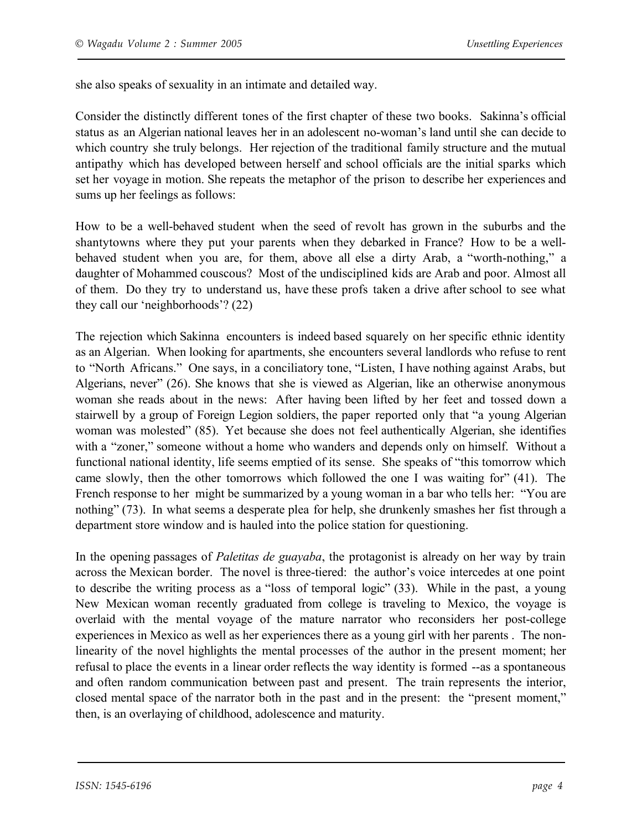she also speaks of sexuality in an intimate and detailed way.

Consider the distinctly different tones of the first chapter of these two books. Sakinna's official status as an Algerian national leaves her in an adolescent no-woman's land until she can decide to which country she truly belongs. Her rejection of the traditional family structure and the mutual antipathy which has developed between herself and school officials are the initial sparks which set her voyage in motion. She repeats the metaphor of the prison to describe her experiences and sums up her feelings as follows:

How to be a well-behaved student when the seed of revolt has grown in the suburbs and the shantytowns where they put your parents when they debarked in France? How to be a wellbehaved student when you are, for them, above all else a dirty Arab, a "worth-nothing," a daughter of Mohammed couscous? Most of the undisciplined kids are Arab and poor. Almost all of them. Do they try to understand us, have these profs taken a drive after school to see what they call our 'neighborhoods'? (22)

The rejection which Sakinna encounters is indeed based squarely on her specific ethnic identity as an Algerian. When looking for apartments, she encounters several landlords who refuse to rent to "North Africans." One says, in a conciliatory tone, "Listen, I have nothing against Arabs, but Algerians, never" (26). She knows that she is viewed as Algerian, like an otherwise anonymous woman she reads about in the news: After having been lifted by her feet and tossed down a stairwell by a group of Foreign Legion soldiers, the paper reported only that "a young Algerian woman was molested" (85). Yet because she does not feel authentically Algerian, she identifies with a "zoner," someone without a home who wanders and depends only on himself. Without a functional national identity, life seems emptied of its sense. She speaks of "this tomorrow which came slowly, then the other tomorrows which followed the one I was waiting for" (41). The French response to her might be summarized by a young woman in a bar who tells her: "You are nothing" (73). In what seems a desperate plea for help, she drunkenly smashes her fist through a department store window and is hauled into the police station for questioning.

In the opening passages of *Paletitas de guayaba*, the protagonist is already on her way by train across the Mexican border. The novel is three-tiered: the author's voice intercedes at one point to describe the writing process as a "loss of temporal logic" (33). While in the past, a young New Mexican woman recently graduated from college is traveling to Mexico, the voyage is overlaid with the mental voyage of the mature narrator who reconsiders her post-college experiences in Mexico as well as her experiences there as a young girl with her parents . The nonlinearity of the novel highlights the mental processes of the author in the present moment; her refusal to place the events in a linear order reflects the way identity is formed --as a spontaneous and often random communication between past and present. The train represents the interior, closed mental space of the narrator both in the past and in the present: the "present moment," then, is an overlaying of childhood, adolescence and maturity.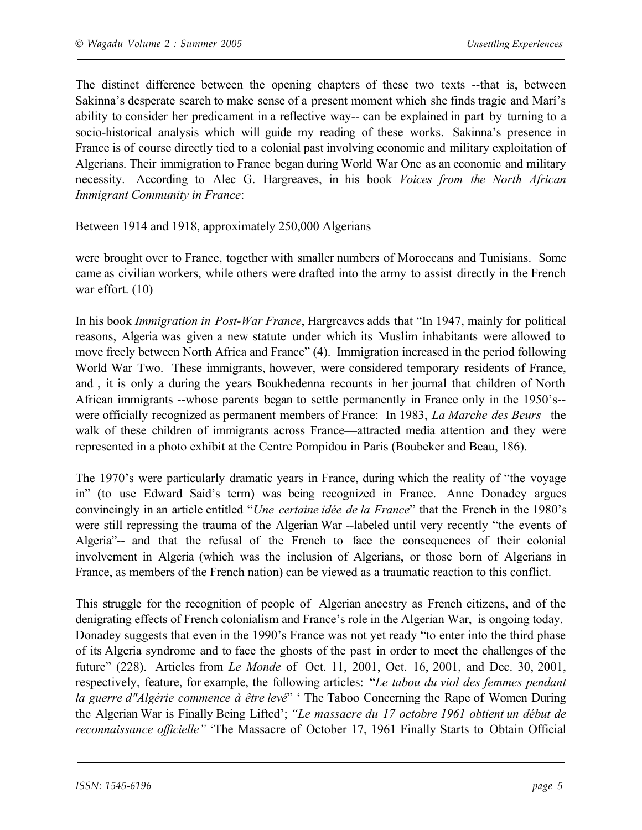The distinct difference between the opening chapters of these two texts --that is, between Sakinna's desperate search to make sense of a present moment which she finds tragic and Marí's ability to consider her predicament in a reflective way-- can be explained in part by turning to a socio-historical analysis which will guide my reading of these works. Sakinna's presence in France is of course directly tied to a colonial past involving economic and military exploitation of Algerians. Their immigration to France began during World War One as an economic and military necessity. According to Alec G. Hargreaves, in his book *Voices from the North African Immigrant Community in France*:

Between 1914 and 1918, approximately 250,000 Algerians

were brought over to France, together with smaller numbers of Moroccans and Tunisians. Some came as civilian workers, while others were drafted into the army to assist directly in the French war effort. (10)

In his book *Immigration in Post-War France*, Hargreaves adds that "In 1947, mainly for political reasons, Algeria was given a new statute under which its Muslim inhabitants were allowed to move freely between North Africa and France" (4). Immigration increased in the period following World War Two. These immigrants, however, were considered temporary residents of France, and , it is only a during the years Boukhedenna recounts in her journal that children of North African immigrants --whose parents began to settle permanently in France only in the 1950's- were officially recognized as permanent members of France: In 1983, *La Marche des Beurs* –the walk of these children of immigrants across France—attracted media attention and they were represented in a photo exhibit at the Centre Pompidou in Paris (Boubeker and Beau, 186).

The 1970's were particularly dramatic years in France, during which the reality of "the voyage in" (to use Edward Said's term) was being recognized in France. Anne Donadey argues convincingly in an article entitled "*Une certaine idée de la France*" that the French in the 1980's were still repressing the trauma of the Algerian War --labeled until very recently "the events of Algeria"-- and that the refusal of the French to face the consequences of their colonial involvement in Algeria (which was the inclusion of Algerians, or those born of Algerians in France, as members of the French nation) can be viewed as a traumatic reaction to this conflict.

This struggle for the recognition of people of Algerian ancestry as French citizens, and of the denigrating effects of French colonialism and France's role in the Algerian War, is ongoing today. Donadey suggests that even in the 1990's France was not yet ready "to enter into the third phase of its Algeria syndrome and to face the ghosts of the past in order to meet the challenges of the future" (228). Articles from *Le Monde* of Oct. 11, 2001, Oct. 16, 2001, and Dec. 30, 2001, respectively, feature, for example, the following articles: "*Le tabou du viol des femmes pendant la guerre d"Algérie commence à être levé*" ' The Taboo Concerning the Rape of Women During the Algerian War is Finally Being Lifted'; *"Le massacre du 17 octobre 1961 obtient un début de reconnaissance officielle"* 'The Massacre of October 17, 1961 Finally Starts to Obtain Official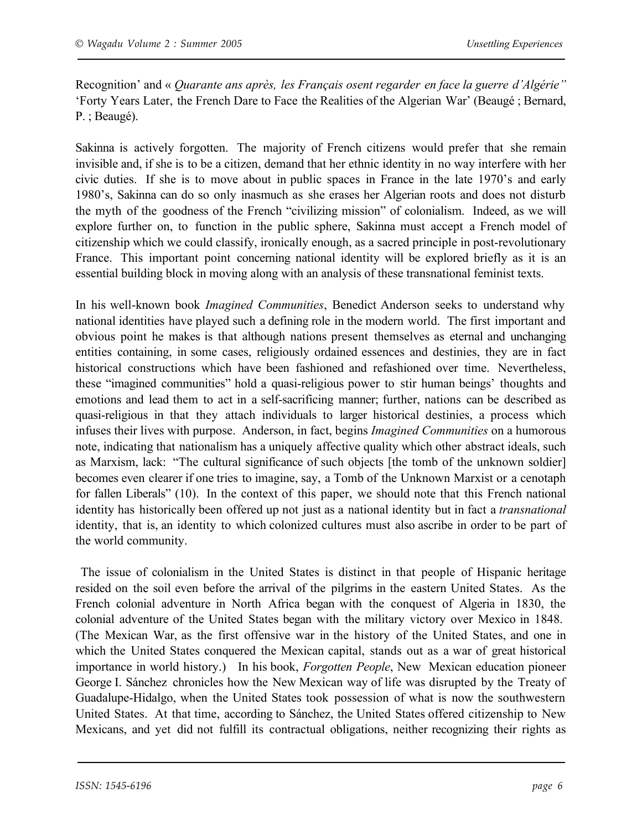Recognition' and « *Quarante ans après, les Français osent regarder en face la guerre d'Algérie"* 'Forty Years Later, the French Dare to Face the Realities of the Algerian War' (Beaugé ; Bernard, P. ; Beaugé).

Sakinna is actively forgotten. The majority of French citizens would prefer that she remain invisible and, if she is to be a citizen, demand that her ethnic identity in no way interfere with her civic duties. If she is to move about in public spaces in France in the late 1970's and early 1980's, Sakinna can do so only inasmuch as she erases her Algerian roots and does not disturb the myth of the goodness of the French "civilizing mission" of colonialism. Indeed, as we will explore further on, to function in the public sphere, Sakinna must accept a French model of citizenship which we could classify, ironically enough, as a sacred principle in post-revolutionary France. This important point concerning national identity will be explored briefly as it is an essential building block in moving along with an analysis of these transnational feminist texts.

In his well-known book *Imagined Communities*, Benedict Anderson seeks to understand why national identities have played such a defining role in the modern world. The first important and obvious point he makes is that although nations present themselves as eternal and unchanging entities containing, in some cases, religiously ordained essences and destinies, they are in fact historical constructions which have been fashioned and refashioned over time. Nevertheless, these "imagined communities" hold a quasi-religious power to stir human beings' thoughts and emotions and lead them to act in a self-sacrificing manner; further, nations can be described as quasi-religious in that they attach individuals to larger historical destinies, a process which infuses their lives with purpose. Anderson, in fact, begins *Imagined Communities* on a humorous note, indicating that nationalism has a uniquely affective quality which other abstract ideals, such as Marxism, lack: "The cultural significance of such objects [the tomb of the unknown soldier] becomes even clearer if one tries to imagine, say, a Tomb of the Unknown Marxist or a cenotaph for fallen Liberals" (10). In the context of this paper, we should note that this French national identity has historically been offered up not just as a national identity but in fact a *transnational* identity, that is, an identity to which colonized cultures must also ascribe in order to be part of the world community.

The issue of colonialism in the United States is distinct in that people of Hispanic heritage resided on the soil even before the arrival of the pilgrims in the eastern United States. As the French colonial adventure in North Africa began with the conquest of Algeria in 1830, the colonial adventure of the United States began with the military victory over Mexico in 1848. (The Mexican War, as the first offensive war in the history of the United States, and one in which the United States conquered the Mexican capital, stands out as a war of great historical importance in world history.) In his book, *Forgotten People*, New Mexican education pioneer George I. Sánchez chronicles how the New Mexican way of life was disrupted by the Treaty of Guadalupe-Hidalgo, when the United States took possession of what is now the southwestern United States. At that time, according to Sánchez, the United States offered citizenship to New Mexicans, and yet did not fulfill its contractual obligations, neither recognizing their rights as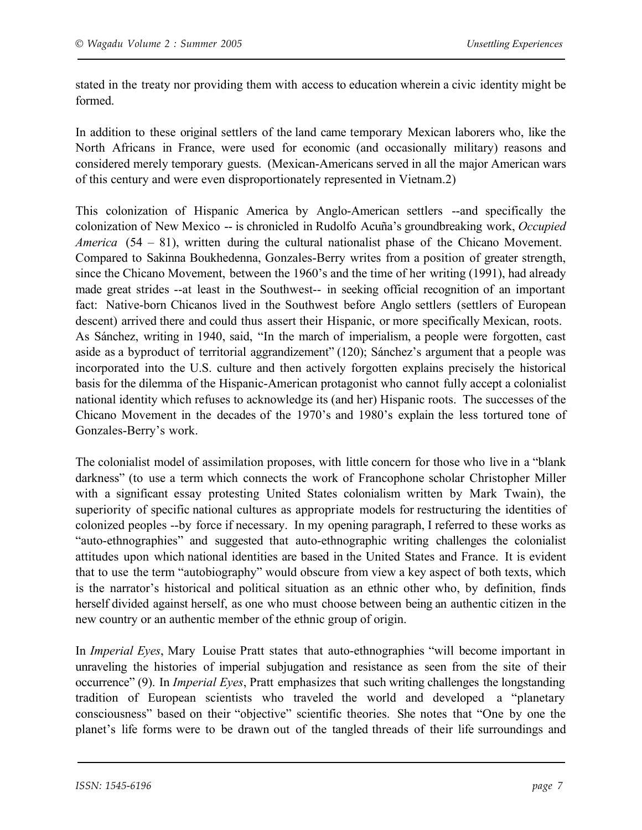stated in the treaty nor providing them with access to education wherein a civic identity might be formed.

In addition to these original settlers of the land came temporary Mexican laborers who, like the North Africans in France, were used for economic (and occasionally military) reasons and considered merely temporary guests. (Mexican-Americans served in all the major American wars of this century and were even disproportionately represented in Vietnam.2)

This colonization of Hispanic America by Anglo-American settlers --and specifically the colonization of New Mexico -- is chronicled in Rudolfo Acuña's groundbreaking work, *Occupied America* (54 – 81), written during the cultural nationalist phase of the Chicano Movement. Compared to Sakinna Boukhedenna, Gonzales-Berry writes from a position of greater strength, since the Chicano Movement, between the 1960's and the time of her writing (1991), had already made great strides --at least in the Southwest-- in seeking official recognition of an important fact: Native-born Chicanos lived in the Southwest before Anglo settlers (settlers of European descent) arrived there and could thus assert their Hispanic, or more specifically Mexican, roots. As Sánchez, writing in 1940, said, "In the march of imperialism, a people were forgotten, cast aside as a byproduct of territorial aggrandizement" (120); Sánchez's argument that a people was incorporated into the U.S. culture and then actively forgotten explains precisely the historical basis for the dilemma of the Hispanic-American protagonist who cannot fully accept a colonialist national identity which refuses to acknowledge its (and her) Hispanic roots. The successes of the Chicano Movement in the decades of the 1970's and 1980's explain the less tortured tone of Gonzales-Berry's work.

The colonialist model of assimilation proposes, with little concern for those who live in a "blank darkness" (to use a term which connects the work of Francophone scholar Christopher Miller with a significant essay protesting United States colonialism written by Mark Twain), the superiority of specific national cultures as appropriate models for restructuring the identities of colonized peoples --by force if necessary. In my opening paragraph, I referred to these works as "auto-ethnographies" and suggested that auto-ethnographic writing challenges the colonialist attitudes upon which national identities are based in the United States and France. It is evident that to use the term "autobiography" would obscure from view a key aspect of both texts, which is the narrator's historical and political situation as an ethnic other who, by definition, finds herself divided against herself, as one who must choose between being an authentic citizen in the new country or an authentic member of the ethnic group of origin.

In *Imperial Eyes*, Mary Louise Pratt states that auto-ethnographies "will become important in unraveling the histories of imperial subjugation and resistance as seen from the site of their occurrence" (9). In *Imperial Eyes*, Pratt emphasizes that such writing challenges the longstanding tradition of European scientists who traveled the world and developed a "planetary consciousness" based on their "objective" scientific theories. She notes that "One by one the planet's life forms were to be drawn out of the tangled threads of their life surroundings and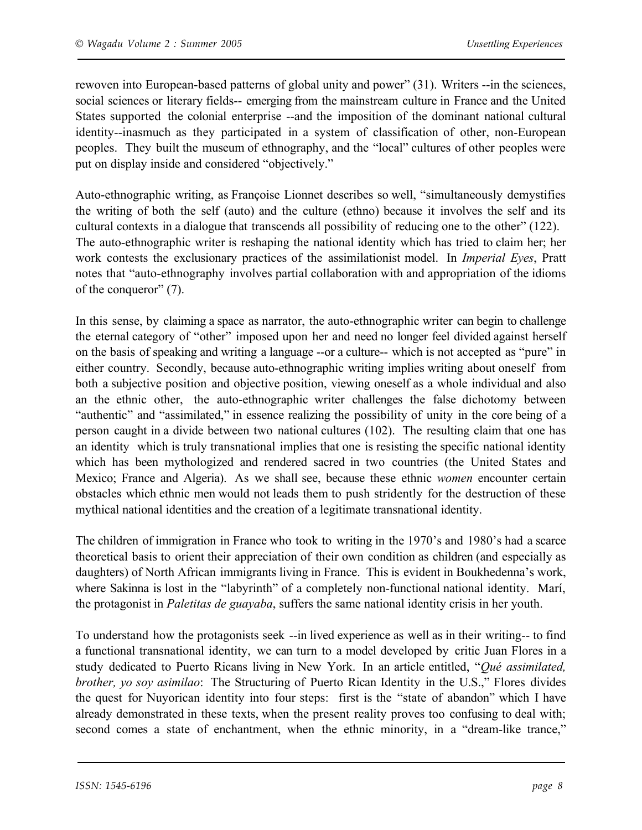rewoven into European-based patterns of global unity and power" (31). Writers --in the sciences, social sciences or literary fields-- emerging from the mainstream culture in France and the United States supported the colonial enterprise --and the imposition of the dominant national cultural identity--inasmuch as they participated in a system of classification of other, non-European peoples. They built the museum of ethnography, and the "local" cultures of other peoples were put on display inside and considered "objectively."

Auto-ethnographic writing, as Françoise Lionnet describes so well, "simultaneously demystifies the writing of both the self (auto) and the culture (ethno) because it involves the self and its cultural contexts in a dialogue that transcends all possibility of reducing one to the other" (122). The auto-ethnographic writer is reshaping the national identity which has tried to claim her; her work contests the exclusionary practices of the assimilationist model. In *Imperial Eyes*, Pratt notes that "auto-ethnography involves partial collaboration with and appropriation of the idioms of the conqueror" (7).

In this sense, by claiming a space as narrator, the auto-ethnographic writer can begin to challenge the eternal category of "other" imposed upon her and need no longer feel divided against herself on the basis of speaking and writing a language --or a culture-- which is not accepted as "pure" in either country. Secondly, because auto-ethnographic writing implies writing about oneself from both a subjective position and objective position, viewing oneself as a whole individual and also an the ethnic other, the auto-ethnographic writer challenges the false dichotomy between "authentic" and "assimilated," in essence realizing the possibility of unity in the core being of a person caught in a divide between two national cultures (102). The resulting claim that one has an identity which is truly transnational implies that one is resisting the specific national identity which has been mythologized and rendered sacred in two countries (the United States and Mexico; France and Algeria). As we shall see, because these ethnic *women* encounter certain obstacles which ethnic men would not leads them to push stridently for the destruction of these mythical national identities and the creation of a legitimate transnational identity.

The children of immigration in France who took to writing in the 1970's and 1980's had a scarce theoretical basis to orient their appreciation of their own condition as children (and especially as daughters) of North African immigrants living in France. This is evident in Boukhedenna's work, where Sakinna is lost in the "labyrinth" of a completely non-functional national identity. Marí, the protagonist in *Paletitas de guayaba*, suffers the same national identity crisis in her youth.

To understand how the protagonists seek --in lived experience as well as in their writing-- to find a functional transnational identity, we can turn to a model developed by critic Juan Flores in a study dedicated to Puerto Ricans living in New York. In an article entitled, "*Qué assimilated, brother, yo soy asimilao*: The Structuring of Puerto Rican Identity in the U.S.," Flores divides the quest for Nuyorican identity into four steps: first is the "state of abandon" which I have already demonstrated in these texts, when the present reality proves too confusing to deal with; second comes a state of enchantment, when the ethnic minority, in a "dream-like trance,"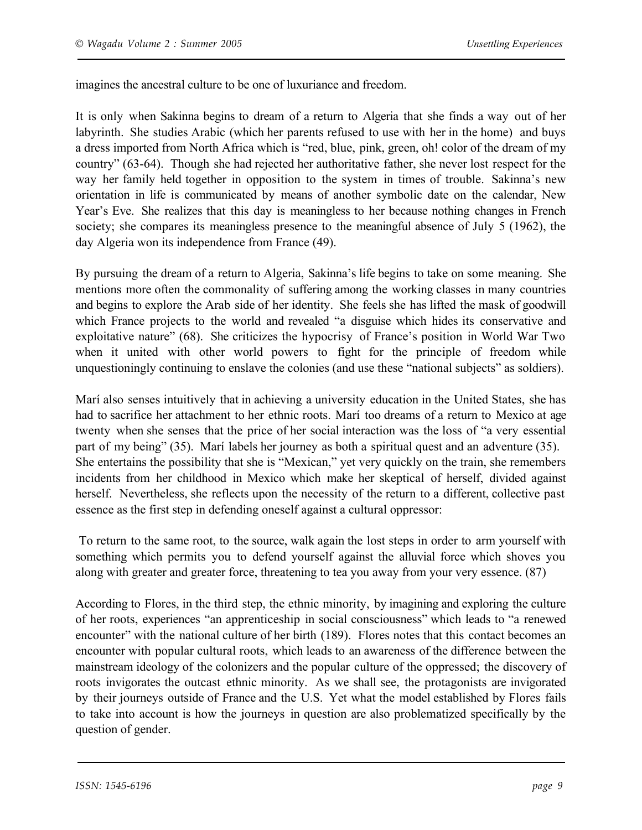imagines the ancestral culture to be one of luxuriance and freedom.

It is only when Sakinna begins to dream of a return to Algeria that she finds a way out of her labyrinth. She studies Arabic (which her parents refused to use with her in the home) and buys a dress imported from North Africa which is "red, blue, pink, green, oh! color of the dream of my country" (63-64). Though she had rejected her authoritative father, she never lost respect for the way her family held together in opposition to the system in times of trouble. Sakinna's new orientation in life is communicated by means of another symbolic date on the calendar, New Year's Eve. She realizes that this day is meaningless to her because nothing changes in French society; she compares its meaningless presence to the meaningful absence of July 5 (1962), the day Algeria won its independence from France (49).

By pursuing the dream of a return to Algeria, Sakinna's life begins to take on some meaning. She mentions more often the commonality of suffering among the working classes in many countries and begins to explore the Arab side of her identity. She feels she has lifted the mask of goodwill which France projects to the world and revealed "a disguise which hides its conservative and exploitative nature" (68). She criticizes the hypocrisy of France's position in World War Two when it united with other world powers to fight for the principle of freedom while unquestioningly continuing to enslave the colonies (and use these "national subjects" as soldiers).

Marí also senses intuitively that in achieving a university education in the United States, she has had to sacrifice her attachment to her ethnic roots. Marí too dreams of a return to Mexico at age twenty when she senses that the price of her social interaction was the loss of "a very essential part of my being" (35). Marí labels her journey as both a spiritual quest and an adventure (35). She entertains the possibility that she is "Mexican," yet very quickly on the train, she remembers incidents from her childhood in Mexico which make her skeptical of herself, divided against herself. Nevertheless, she reflects upon the necessity of the return to a different, collective past essence as the first step in defending oneself against a cultural oppressor:

To return to the same root, to the source, walk again the lost steps in order to arm yourself with something which permits you to defend yourself against the alluvial force which shoves you along with greater and greater force, threatening to tea you away from your very essence. (87)

According to Flores, in the third step, the ethnic minority, by imagining and exploring the culture of her roots, experiences "an apprenticeship in social consciousness" which leads to "a renewed encounter" with the national culture of her birth (189). Flores notes that this contact becomes an encounter with popular cultural roots, which leads to an awareness of the difference between the mainstream ideology of the colonizers and the popular culture of the oppressed; the discovery of roots invigorates the outcast ethnic minority. As we shall see, the protagonists are invigorated by their journeys outside of France and the U.S. Yet what the model established by Flores fails to take into account is how the journeys in question are also problematized specifically by the question of gender.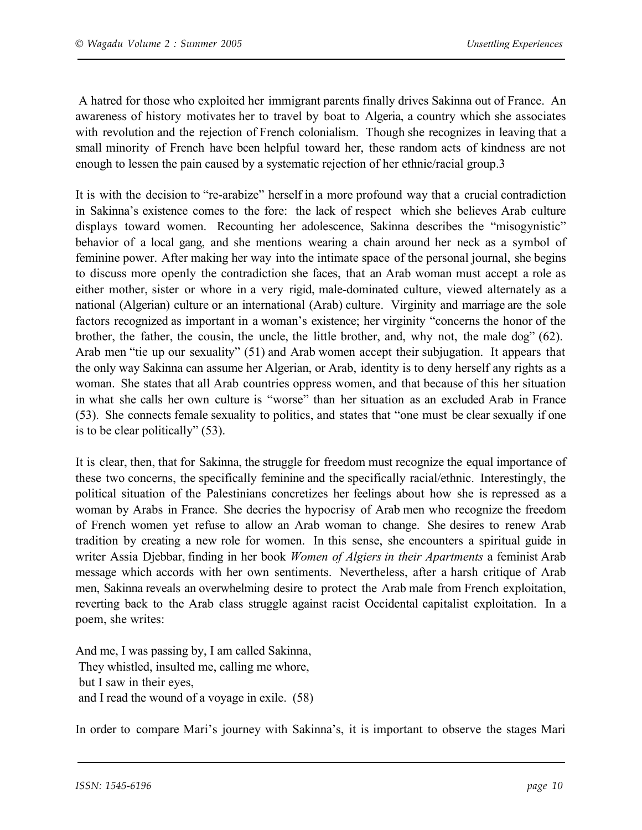A hatred for those who exploited her immigrant parents finally drives Sakinna out of France. An awareness of history motivates her to travel by boat to Algeria, a country which she associates with revolution and the rejection of French colonialism. Though she recognizes in leaving that a small minority of French have been helpful toward her, these random acts of kindness are not enough to lessen the pain caused by a systematic rejection of her ethnic/racial group.3

It is with the decision to "re-arabize" herself in a more profound way that a crucial contradiction in Sakinna's existence comes to the fore: the lack of respect which she believes Arab culture displays toward women. Recounting her adolescence, Sakinna describes the "misogynistic" behavior of a local gang, and she mentions wearing a chain around her neck as a symbol of feminine power. After making her way into the intimate space of the personal journal, she begins to discuss more openly the contradiction she faces, that an Arab woman must accept a role as either mother, sister or whore in a very rigid, male-dominated culture, viewed alternately as a national (Algerian) culture or an international (Arab) culture. Virginity and marriage are the sole factors recognized as important in a woman's existence; her virginity "concerns the honor of the brother, the father, the cousin, the uncle, the little brother, and, why not, the male dog" (62). Arab men "tie up our sexuality" (51) and Arab women accept their subjugation. It appears that the only way Sakinna can assume her Algerian, or Arab, identity is to deny herself any rights as a woman. She states that all Arab countries oppress women, and that because of this her situation in what she calls her own culture is "worse" than her situation as an excluded Arab in France (53). She connects female sexuality to politics, and states that "one must be clear sexually if one is to be clear politically" (53).

It is clear, then, that for Sakinna, the struggle for freedom must recognize the equal importance of these two concerns, the specifically feminine and the specifically racial/ethnic. Interestingly, the political situation of the Palestinians concretizes her feelings about how she is repressed as a woman by Arabs in France. She decries the hypocrisy of Arab men who recognize the freedom of French women yet refuse to allow an Arab woman to change. She desires to renew Arab tradition by creating a new role for women. In this sense, she encounters a spiritual guide in writer Assia Djebbar, finding in her book *Women of Algiers in their Apartments* a feminist Arab message which accords with her own sentiments. Nevertheless, after a harsh critique of Arab men, Sakinna reveals an overwhelming desire to protect the Arab male from French exploitation, reverting back to the Arab class struggle against racist Occidental capitalist exploitation. In a poem, she writes:

And me, I was passing by, I am called Sakinna, They whistled, insulted me, calling me whore, but I saw in their eyes, and I read the wound of a voyage in exile. (58)

In order to compare Mari's journey with Sakinna's, it is important to observe the stages Mari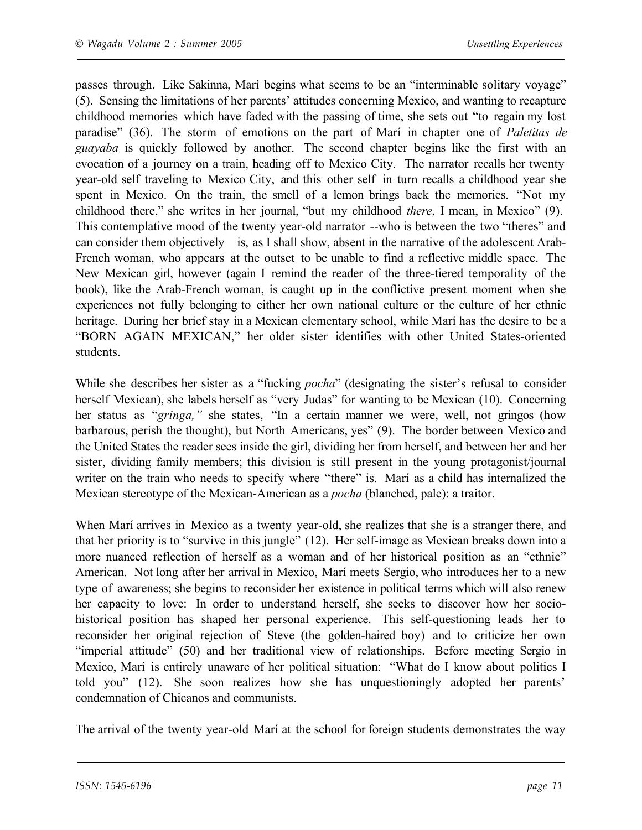passes through. Like Sakinna, Marí begins what seems to be an "interminable solitary voyage" (5). Sensing the limitations of her parents' attitudes concerning Mexico, and wanting to recapture childhood memories which have faded with the passing of time, she sets out "to regain my lost paradise" (36). The storm of emotions on the part of Marí in chapter one of *Paletitas de guayaba* is quickly followed by another. The second chapter begins like the first with an evocation of a journey on a train, heading off to Mexico City. The narrator recalls her twenty year-old self traveling to Mexico City, and this other self in turn recalls a childhood year she spent in Mexico. On the train, the smell of a lemon brings back the memories. "Not my childhood there," she writes in her journal, "but my childhood *there*, I mean, in Mexico" (9). This contemplative mood of the twenty year-old narrator --who is between the two "theres" and can consider them objectively—is, as I shall show, absent in the narrative of the adolescent Arab-French woman, who appears at the outset to be unable to find a reflective middle space. The New Mexican girl, however (again I remind the reader of the three-tiered temporality of the book), like the Arab-French woman, is caught up in the conflictive present moment when she experiences not fully belonging to either her own national culture or the culture of her ethnic heritage. During her brief stay in a Mexican elementary school, while Marí has the desire to be a "BORN AGAIN MEXICAN," her older sister identifies with other United States-oriented students.

While she describes her sister as a "fucking *pocha*" (designating the sister's refusal to consider herself Mexican), she labels herself as "very Judas" for wanting to be Mexican (10). Concerning her status as "*gringa,"* she states, "In a certain manner we were, well, not gringos (how barbarous, perish the thought), but North Americans, yes" (9). The border between Mexico and the United States the reader sees inside the girl, dividing her from herself, and between her and her sister, dividing family members; this division is still present in the young protagonist/journal writer on the train who needs to specify where "there" is. Marí as a child has internalized the Mexican stereotype of the Mexican-American as a *pocha* (blanched, pale): a traitor.

When Marí arrives in Mexico as a twenty year-old, she realizes that she is a stranger there, and that her priority is to "survive in this jungle" (12). Her self-image as Mexican breaks down into a more nuanced reflection of herself as a woman and of her historical position as an "ethnic" American. Not long after her arrival in Mexico, Marí meets Sergio, who introduces her to a new type of awareness; she begins to reconsider her existence in political terms which will also renew her capacity to love: In order to understand herself, she seeks to discover how her sociohistorical position has shaped her personal experience. This self-questioning leads her to reconsider her original rejection of Steve (the golden-haired boy) and to criticize her own "imperial attitude" (50) and her traditional view of relationships. Before meeting Sergio in Mexico, Marí is entirely unaware of her political situation: "What do I know about politics I told you" (12). She soon realizes how she has unquestioningly adopted her parents' condemnation of Chicanos and communists.

The arrival of the twenty year-old Marí at the school for foreign students demonstrates the way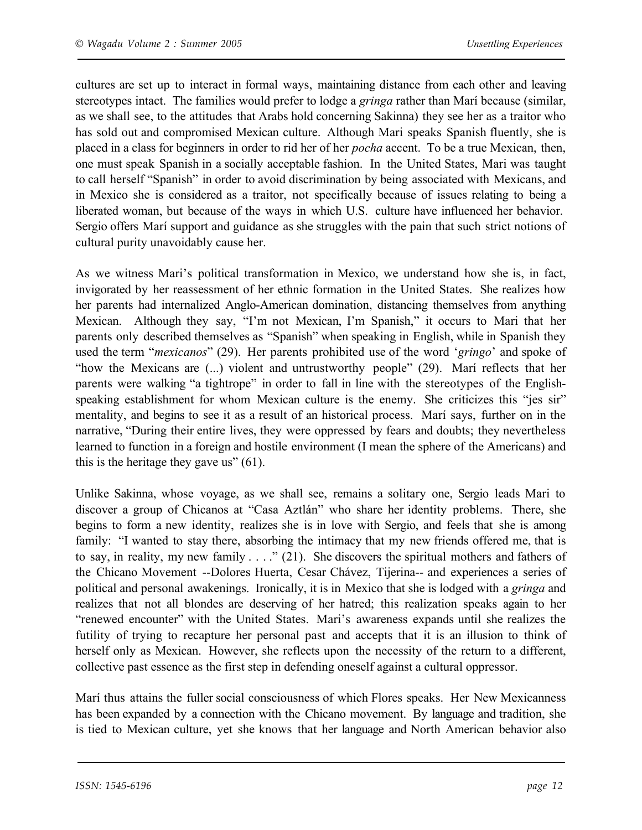cultures are set up to interact in formal ways, maintaining distance from each other and leaving stereotypes intact. The families would prefer to lodge a *gringa* rather than Marí because (similar, as we shall see, to the attitudes that Arabs hold concerning Sakinna) they see her as a traitor who has sold out and compromised Mexican culture. Although Mari speaks Spanish fluently, she is placed in a class for beginners in order to rid her of her *pocha* accent. To be a true Mexican, then, one must speak Spanish in a socially acceptable fashion. In the United States, Mari was taught to call herself "Spanish" in order to avoid discrimination by being associated with Mexicans, and in Mexico she is considered as a traitor, not specifically because of issues relating to being a liberated woman, but because of the ways in which U.S. culture have influenced her behavior. Sergio offers Marí support and guidance as she struggles with the pain that such strict notions of cultural purity unavoidably cause her.

As we witness Mari's political transformation in Mexico, we understand how she is, in fact, invigorated by her reassessment of her ethnic formation in the United States. She realizes how her parents had internalized Anglo-American domination, distancing themselves from anything Mexican. Although they say, "I'm not Mexican, I'm Spanish," it occurs to Mari that her parents only described themselves as "Spanish" when speaking in English, while in Spanish they used the term "*mexicanos*" (29). Her parents prohibited use of the word '*gringo*' and spoke of "how the Mexicans are (...) violent and untrustworthy people" (29). Marí reflects that her parents were walking "a tightrope" in order to fall in line with the stereotypes of the Englishspeaking establishment for whom Mexican culture is the enemy. She criticizes this "jes sir" mentality, and begins to see it as a result of an historical process. Marí says, further on in the narrative, "During their entire lives, they were oppressed by fears and doubts; they nevertheless learned to function in a foreign and hostile environment (I mean the sphere of the Americans) and this is the heritage they gave us"  $(61)$ .

Unlike Sakinna, whose voyage, as we shall see, remains a solitary one, Sergio leads Mari to discover a group of Chicanos at "Casa Aztlán" who share her identity problems. There, she begins to form a new identity, realizes she is in love with Sergio, and feels that she is among family: "I wanted to stay there, absorbing the intimacy that my new friends offered me, that is to say, in reality, my new family . . . ." (21). She discovers the spiritual mothers and fathers of the Chicano Movement --Dolores Huerta, Cesar Chávez, Tijerina-- and experiences a series of political and personal awakenings. Ironically, it is in Mexico that she is lodged with a *gringa* and realizes that not all blondes are deserving of her hatred; this realization speaks again to her "renewed encounter" with the United States. Mari's awareness expands until she realizes the futility of trying to recapture her personal past and accepts that it is an illusion to think of herself only as Mexican. However, she reflects upon the necessity of the return to a different, collective past essence as the first step in defending oneself against a cultural oppressor.

Marí thus attains the fuller social consciousness of which Flores speaks. Her New Mexicanness has been expanded by a connection with the Chicano movement. By language and tradition, she is tied to Mexican culture, yet she knows that her language and North American behavior also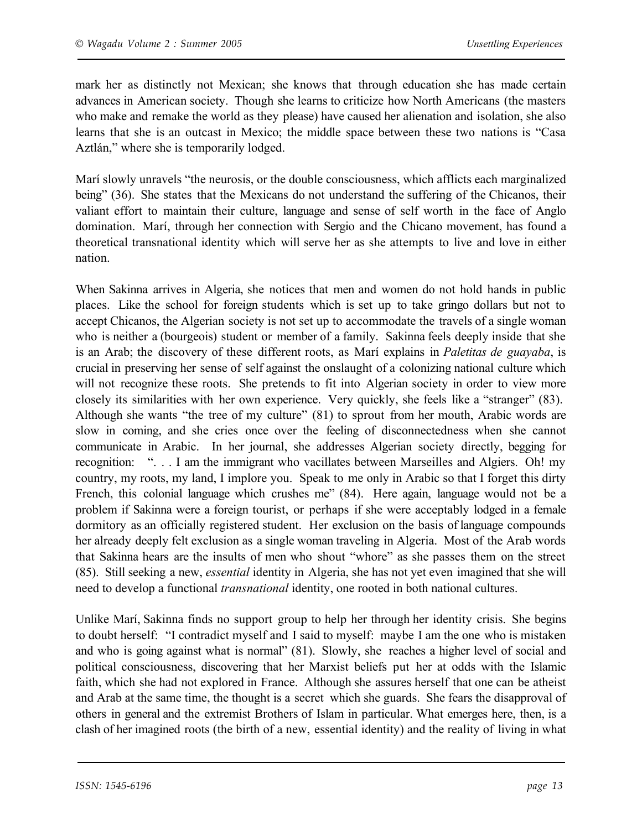mark her as distinctly not Mexican; she knows that through education she has made certain advances in American society. Though she learns to criticize how North Americans (the masters who make and remake the world as they please) have caused her alienation and isolation, she also learns that she is an outcast in Mexico; the middle space between these two nations is "Casa Aztlán," where she is temporarily lodged.

Marí slowly unravels "the neurosis, or the double consciousness, which afflicts each marginalized being" (36). She states that the Mexicans do not understand the suffering of the Chicanos, their valiant effort to maintain their culture, language and sense of self worth in the face of Anglo domination. Marí, through her connection with Sergio and the Chicano movement, has found a theoretical transnational identity which will serve her as she attempts to live and love in either nation.

When Sakinna arrives in Algeria, she notices that men and women do not hold hands in public places. Like the school for foreign students which is set up to take gringo dollars but not to accept Chicanos, the Algerian society is not set up to accommodate the travels of a single woman who is neither a (bourgeois) student or member of a family. Sakinna feels deeply inside that she is an Arab; the discovery of these different roots, as Marí explains in *Paletitas de guayaba*, is crucial in preserving her sense of self against the onslaught of a colonizing national culture which will not recognize these roots. She pretends to fit into Algerian society in order to view more closely its similarities with her own experience. Very quickly, she feels like a "stranger" (83). Although she wants "the tree of my culture" (81) to sprout from her mouth, Arabic words are slow in coming, and she cries once over the feeling of disconnectedness when she cannot communicate in Arabic. In her journal, she addresses Algerian society directly, begging for recognition: ". . . I am the immigrant who vacillates between Marseilles and Algiers. Oh! my country, my roots, my land, I implore you. Speak to me only in Arabic so that I forget this dirty French, this colonial language which crushes me" (84). Here again, language would not be a problem if Sakinna were a foreign tourist, or perhaps if she were acceptably lodged in a female dormitory as an officially registered student. Her exclusion on the basis of language compounds her already deeply felt exclusion as a single woman traveling in Algeria. Most of the Arab words that Sakinna hears are the insults of men who shout "whore" as she passes them on the street (85). Still seeking a new, *essential* identity in Algeria, she has not yet even imagined that she will need to develop a functional *transnational* identity, one rooted in both national cultures.

Unlike Marí, Sakinna finds no support group to help her through her identity crisis. She begins to doubt herself: "I contradict myself and I said to myself: maybe I am the one who is mistaken and who is going against what is normal" (81). Slowly, she reaches a higher level of social and political consciousness, discovering that her Marxist beliefs put her at odds with the Islamic faith, which she had not explored in France. Although she assures herself that one can be atheist and Arab at the same time, the thought is a secret which she guards. She fears the disapproval of others in general and the extremist Brothers of Islam in particular. What emerges here, then, is a clash of her imagined roots (the birth of a new, essential identity) and the reality of living in what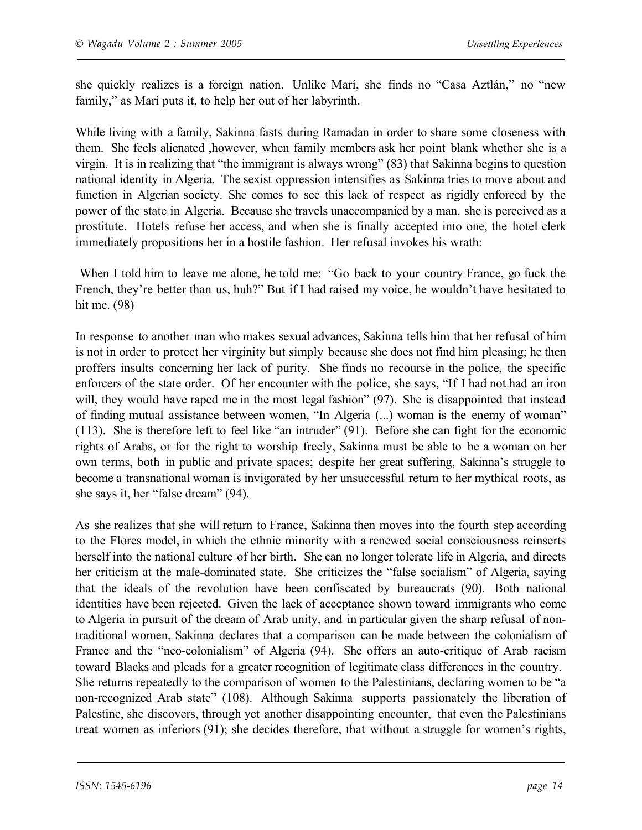she quickly realizes is a foreign nation. Unlike Marí, she finds no "Casa Aztlán," no "new family," as Marí puts it, to help her out of her labyrinth.

While living with a family, Sakinna fasts during Ramadan in order to share some closeness with them. She feels alienated ,however, when family members ask her point blank whether she is a virgin. It is in realizing that "the immigrant is always wrong" (83) that Sakinna begins to question national identity in Algeria. The sexist oppression intensifies as Sakinna tries to move about and function in Algerian society. She comes to see this lack of respect as rigidly enforced by the power of the state in Algeria. Because she travels unaccompanied by a man, she is perceived as a prostitute. Hotels refuse her access, and when she is finally accepted into one, the hotel clerk immediately propositions her in a hostile fashion. Her refusal invokes his wrath:

When I told him to leave me alone, he told me: "Go back to your country France, go fuck the French, they're better than us, huh?" But if I had raised my voice, he wouldn't have hesitated to hit me. (98)

In response to another man who makes sexual advances, Sakinna tells him that her refusal of him is not in order to protect her virginity but simply because she does not find him pleasing; he then proffers insults concerning her lack of purity. She finds no recourse in the police, the specific enforcers of the state order. Of her encounter with the police, she says, "If I had not had an iron will, they would have raped me in the most legal fashion" (97). She is disappointed that instead of finding mutual assistance between women, "In Algeria (...) woman is the enemy of woman" (113). She is therefore left to feel like "an intruder" (91). Before she can fight for the economic rights of Arabs, or for the right to worship freely, Sakinna must be able to be a woman on her own terms, both in public and private spaces; despite her great suffering, Sakinna's struggle to become a transnational woman is invigorated by her unsuccessful return to her mythical roots, as she says it, her "false dream" (94).

As she realizes that she will return to France, Sakinna then moves into the fourth step according to the Flores model, in which the ethnic minority with a renewed social consciousness reinserts herself into the national culture of her birth. She can no longer tolerate life in Algeria, and directs her criticism at the male-dominated state. She criticizes the "false socialism" of Algeria, saying that the ideals of the revolution have been confiscated by bureaucrats (90). Both national identities have been rejected. Given the lack of acceptance shown toward immigrants who come to Algeria in pursuit of the dream of Arab unity, and in particular given the sharp refusal of nontraditional women, Sakinna declares that a comparison can be made between the colonialism of France and the "neo-colonialism" of Algeria (94). She offers an auto-critique of Arab racism toward Blacks and pleads for a greater recognition of legitimate class differences in the country. She returns repeatedly to the comparison of women to the Palestinians, declaring women to be "a non-recognized Arab state" (108). Although Sakinna supports passionately the liberation of Palestine, she discovers, through yet another disappointing encounter, that even the Palestinians treat women as inferiors (91); she decides therefore, that without a struggle for women's rights,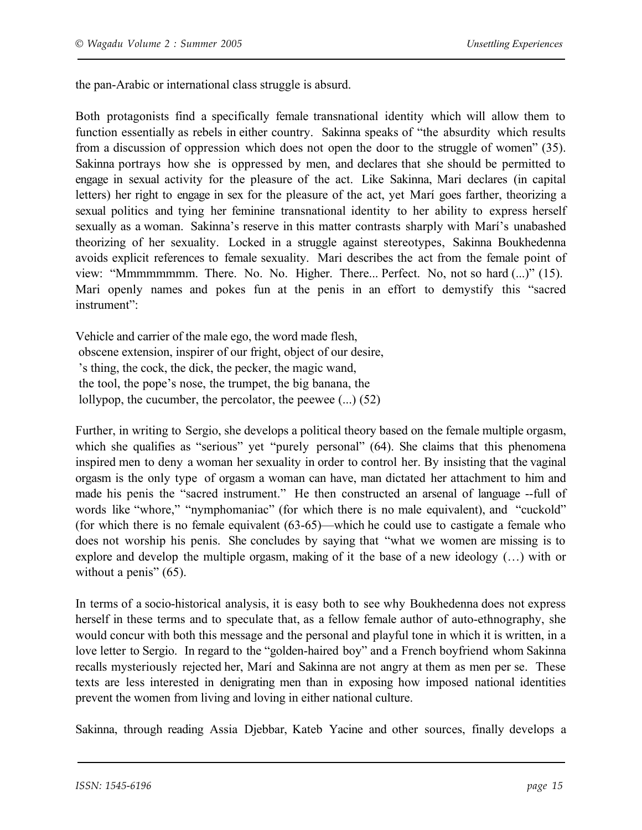the pan-Arabic or international class struggle is absurd.

Both protagonists find a specifically female transnational identity which will allow them to function essentially as rebels in either country. Sakinna speaks of "the absurdity which results from a discussion of oppression which does not open the door to the struggle of women" (35). Sakinna portrays how she is oppressed by men, and declares that she should be permitted to engage in sexual activity for the pleasure of the act. Like Sakinna, Mari declares (in capital letters) her right to engage in sex for the pleasure of the act, yet Marí goes farther, theorizing a sexual politics and tying her feminine transnational identity to her ability to express herself sexually as a woman. Sakinna's reserve in this matter contrasts sharply with Marí's unabashed theorizing of her sexuality. Locked in a struggle against stereotypes, Sakinna Boukhedenna avoids explicit references to female sexuality. Mari describes the act from the female point of view: "Mmmmmmmm. There. No. No. Higher. There... Perfect. No, not so hard (...)" (15). Mari openly names and pokes fun at the penis in an effort to demystify this "sacred instrument":

Vehicle and carrier of the male ego, the word made flesh, obscene extension, inspirer of our fright, object of our desire, 's thing, the cock, the dick, the pecker, the magic wand, the tool, the pope's nose, the trumpet, the big banana, the lollypop, the cucumber, the percolator, the peewee (...) (52)

Further, in writing to Sergio, she develops a political theory based on the female multiple orgasm, which she qualifies as "serious" yet "purely personal" (64). She claims that this phenomena inspired men to deny a woman her sexuality in order to control her. By insisting that the vaginal orgasm is the only type of orgasm a woman can have, man dictated her attachment to him and made his penis the "sacred instrument." He then constructed an arsenal of language --full of words like "whore," "nymphomaniac" (for which there is no male equivalent), and "cuckold" (for which there is no female equivalent (63-65)—which he could use to castigate a female who does not worship his penis. She concludes by saying that "what we women are missing is to explore and develop the multiple orgasm, making of it the base of a new ideology (…) with or without a penis" (65).

In terms of a socio-historical analysis, it is easy both to see why Boukhedenna does not express herself in these terms and to speculate that, as a fellow female author of auto-ethnography, she would concur with both this message and the personal and playful tone in which it is written, in a love letter to Sergio. In regard to the "golden-haired boy" and a French boyfriend whom Sakinna recalls mysteriously rejected her, Marí and Sakinna are not angry at them as men per se. These texts are less interested in denigrating men than in exposing how imposed national identities prevent the women from living and loving in either national culture.

Sakinna, through reading Assia Djebbar, Kateb Yacine and other sources, finally develops a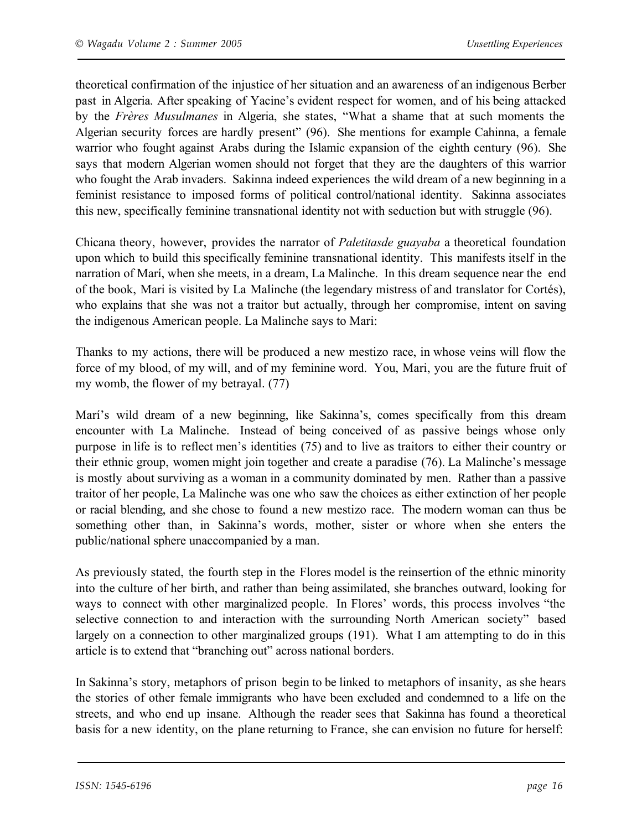theoretical confirmation of the injustice of her situation and an awareness of an indigenous Berber past in Algeria. After speaking of Yacine's evident respect for women, and of his being attacked by the *Frères Musulmanes* in Algeria, she states, "What a shame that at such moments the Algerian security forces are hardly present" (96). She mentions for example Cahinna, a female warrior who fought against Arabs during the Islamic expansion of the eighth century (96). She says that modern Algerian women should not forget that they are the daughters of this warrior who fought the Arab invaders. Sakinna indeed experiences the wild dream of a new beginning in a feminist resistance to imposed forms of political control/national identity. Sakinna associates this new, specifically feminine transnational identity not with seduction but with struggle (96).

Chicana theory, however, provides the narrator of *Paletitasde guayaba* a theoretical foundation upon which to build this specifically feminine transnational identity. This manifests itself in the narration of Marí, when she meets, in a dream, La Malinche. In this dream sequence near the end of the book, Mari is visited by La Malinche (the legendary mistress of and translator for Cortés), who explains that she was not a traitor but actually, through her compromise, intent on saving the indigenous American people. La Malinche says to Mari:

Thanks to my actions, there will be produced a new mestizo race, in whose veins will flow the force of my blood, of my will, and of my feminine word. You, Mari, you are the future fruit of my womb, the flower of my betrayal. (77)

Marí's wild dream of a new beginning, like Sakinna's, comes specifically from this dream encounter with La Malinche. Instead of being conceived of as passive beings whose only purpose in life is to reflect men's identities (75) and to live as traitors to either their country or their ethnic group, women might join together and create a paradise (76). La Malinche's message is mostly about surviving as a woman in a community dominated by men. Rather than a passive traitor of her people, La Malinche was one who saw the choices as either extinction of her people or racial blending, and she chose to found a new mestizo race. The modern woman can thus be something other than, in Sakinna's words, mother, sister or whore when she enters the public/national sphere unaccompanied by a man.

As previously stated, the fourth step in the Flores model is the reinsertion of the ethnic minority into the culture of her birth, and rather than being assimilated, she branches outward, looking for ways to connect with other marginalized people. In Flores' words, this process involves "the selective connection to and interaction with the surrounding North American society" based largely on a connection to other marginalized groups (191). What I am attempting to do in this article is to extend that "branching out" across national borders.

In Sakinna's story, metaphors of prison begin to be linked to metaphors of insanity, as she hears the stories of other female immigrants who have been excluded and condemned to a life on the streets, and who end up insane. Although the reader sees that Sakinna has found a theoretical basis for a new identity, on the plane returning to France, she can envision no future for herself: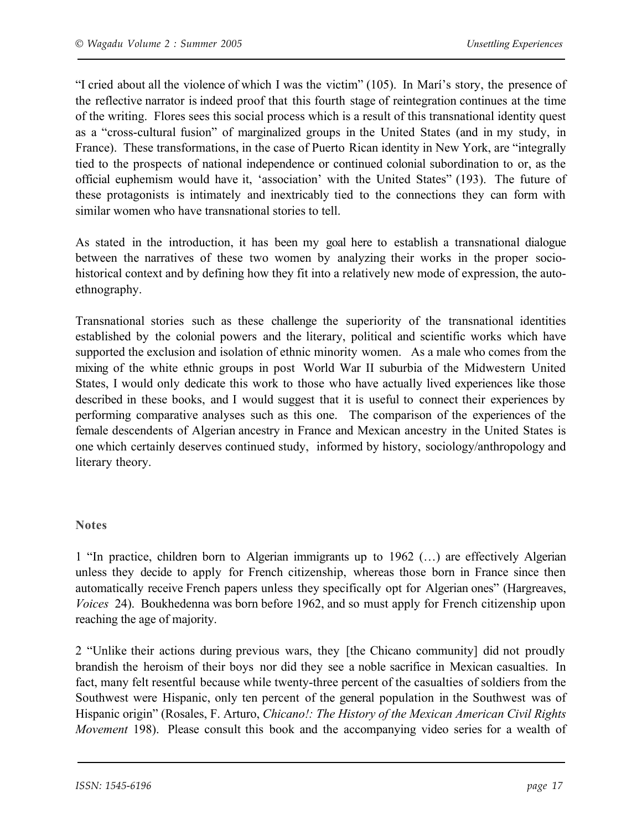"I cried about all the violence of which I was the victim" (105). In Marí's story, the presence of the reflective narrator is indeed proof that this fourth stage of reintegration continues at the time of the writing. Flores sees this social process which is a result of this transnational identity quest as a "cross-cultural fusion" of marginalized groups in the United States (and in my study, in France). These transformations, in the case of Puerto Rican identity in New York, are "integrally tied to the prospects of national independence or continued colonial subordination to or, as the official euphemism would have it, 'association' with the United States" (193). The future of these protagonists is intimately and inextricably tied to the connections they can form with similar women who have transnational stories to tell.

As stated in the introduction, it has been my goal here to establish a transnational dialogue between the narratives of these two women by analyzing their works in the proper sociohistorical context and by defining how they fit into a relatively new mode of expression, the autoethnography.

Transnational stories such as these challenge the superiority of the transnational identities established by the colonial powers and the literary, political and scientific works which have supported the exclusion and isolation of ethnic minority women. As a male who comes from the mixing of the white ethnic groups in post World War II suburbia of the Midwestern United States, I would only dedicate this work to those who have actually lived experiences like those described in these books, and I would suggest that it is useful to connect their experiences by performing comparative analyses such as this one. The comparison of the experiences of the female descendents of Algerian ancestry in France and Mexican ancestry in the United States is one which certainly deserves continued study, informed by history, sociology/anthropology and literary theory.

#### **Notes**

1 "In practice, children born to Algerian immigrants up to 1962 (…) are effectively Algerian unless they decide to apply for French citizenship, whereas those born in France since then automatically receive French papers unless they specifically opt for Algerian ones" (Hargreaves, *Voices* 24). Boukhedenna was born before 1962, and so must apply for French citizenship upon reaching the age of majority.

2 "Unlike their actions during previous wars, they [the Chicano community] did not proudly brandish the heroism of their boys nor did they see a noble sacrifice in Mexican casualties. In fact, many felt resentful because while twenty-three percent of the casualties of soldiers from the Southwest were Hispanic, only ten percent of the general population in the Southwest was of Hispanic origin" (Rosales, F. Arturo, *Chicano!: The History of the Mexican American Civil Rights Movement* 198). Please consult this book and the accompanying video series for a wealth of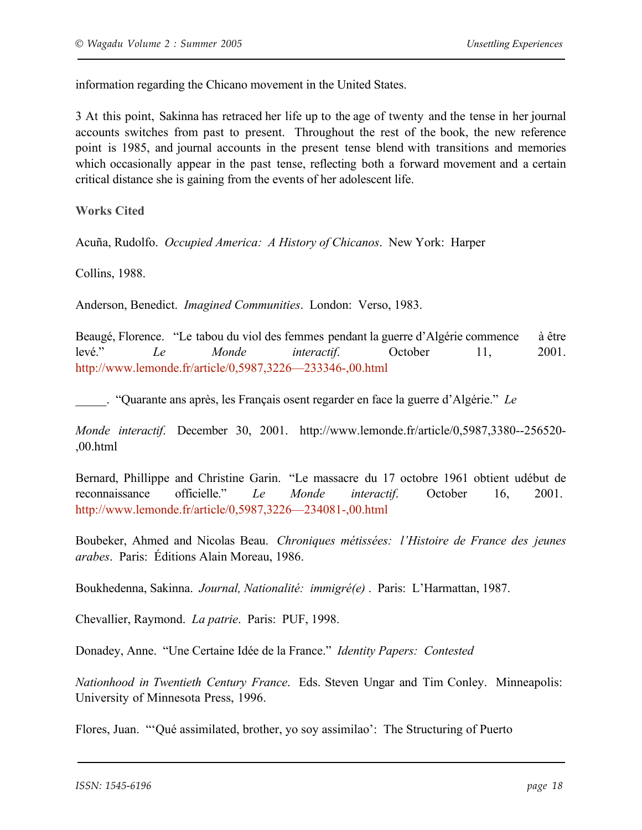information regarding the Chicano movement in the United States.

3 At this point, Sakinna has retraced her life up to the age of twenty and the tense in her journal accounts switches from past to present. Throughout the rest of the book, the new reference point is 1985, and journal accounts in the present tense blend with transitions and memories which occasionally appear in the past tense, reflecting both a forward movement and a certain critical distance she is gaining from the events of her adolescent life.

**Works Cited**

Acuña, Rudolfo. *Occupied America: A History of Chicanos*. New York: Harper

Collins, 1988.

Anderson, Benedict. *Imagined Communities*. London: Verso, 1983.

Beaugé, Florence. "Le tabou du viol des femmes pendant la guerre d'Algérie commence à être levé." *Le Monde interactif*. October 11, 2001. http://www.lemonde.fr/article/0,5987,3226—233346-,00.html

\_\_\_\_\_. "Quarante ans après, les Français osent regarder en face la guerre d'Algérie." *Le*

*Monde interactif*. December 30, 2001. http://www.lemonde.fr/article/0,5987,3380--256520- ,00.html

Bernard, Phillippe and Christine Garin. "Le massacre du 17 octobre 1961 obtient udébut de reconnaissance officielle." *Le Monde interactif*. October 16, 2001. http://www.lemonde.fr/article/0,5987,3226—234081-,00.html

Boubeker, Ahmed and Nicolas Beau. *Chroniques métissées: l'Histoire de France des jeunes arabes*. Paris: Éditions Alain Moreau, 1986.

Boukhedenna, Sakinna. *Journal, Nationalité: immigré(e)* . Paris: L'Harmattan, 1987.

Chevallier, Raymond. *La patrie*. Paris: PUF, 1998.

Donadey, Anne. "Une Certaine Idée de la France." *Identity Papers: Contested*

*Nationhood in Twentieth Century France*. Eds. Steven Ungar and Tim Conley. Minneapolis: University of Minnesota Press, 1996.

Flores, Juan. "'Qué assimilated, brother, yo soy assimilao': The Structuring of Puerto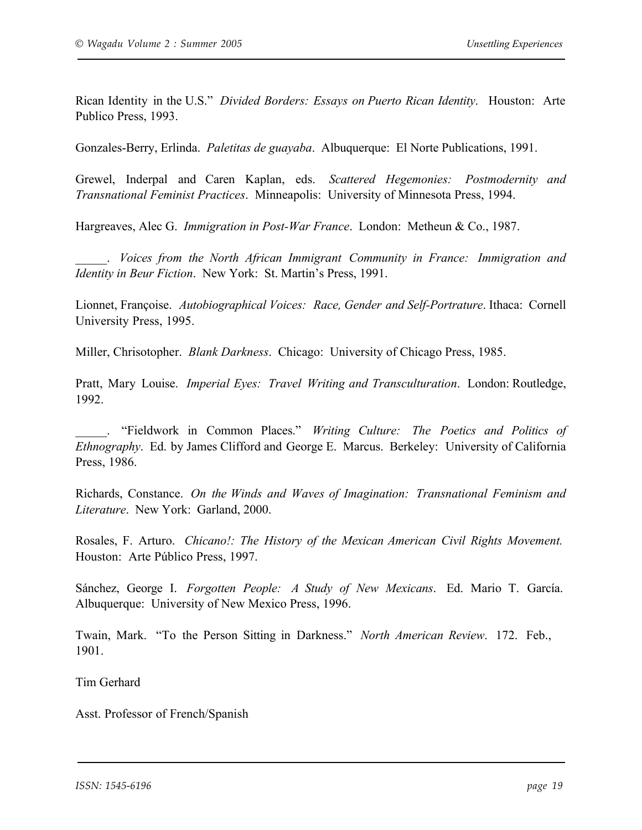Rican Identity in the U.S." *Divided Borders: Essays on Puerto Rican Identity*. Houston: Arte Publico Press, 1993.

Gonzales-Berry, Erlinda. *Paletitas de guayaba*. Albuquerque: El Norte Publications, 1991.

Grewel, Inderpal and Caren Kaplan, eds. *Scattered Hegemonies: Postmodernity and Transnational Feminist Practices*. Minneapolis: University of Minnesota Press, 1994.

Hargreaves, Alec G. *Immigration in Post-War France*. London: Metheun & Co., 1987.

\_\_\_\_\_. *Voices from the North African Immigrant Community in France: Immigration and Identity in Beur Fiction*. New York: St. Martin's Press, 1991.

Lionnet, Françoise. *Autobiographical Voices: Race, Gender and Self-Portrature*. Ithaca: Cornell University Press, 1995.

Miller, Chrisotopher. *Blank Darkness*. Chicago: University of Chicago Press, 1985.

Pratt, Mary Louise. *Imperial Eyes: Travel Writing and Transculturation*. London: Routledge, 1992.

\_\_\_\_\_. "Fieldwork in Common Places." *Writing Culture: The Poetics and Politics of Ethnography*. Ed. by James Clifford and George E. Marcus. Berkeley: University of California Press, 1986.

Richards, Constance. *On the Winds and Waves of Imagination: Transnational Feminism and Literature*. New York: Garland, 2000.

Rosales, F. Arturo. *Chicano!: The History of the Mexican American Civil Rights Movement.*  Houston: Arte Público Press, 1997.

Sánchez, George I. *Forgotten People: A Study of New Mexicans*. Ed. Mario T. García. Albuquerque: University of New Mexico Press, 1996.

Twain, Mark. "To the Person Sitting in Darkness." *North American Review*. 172. Feb., 1901.

Tim Gerhard

Asst. Professor of French/Spanish